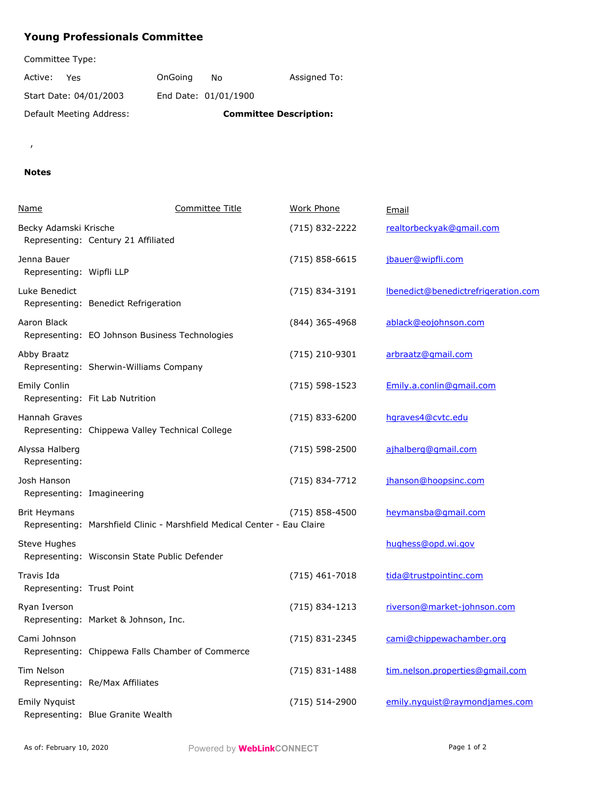## **Young Professionals Committee**

Committee Type:

| Active:<br>Yes.          | OnGoing | N٥                            | Assigned To: |
|--------------------------|---------|-------------------------------|--------------|
| Start Date: 04/01/2003   |         | End Date: 01/01/1900          |              |
| Default Meeting Address: |         | <b>Committee Description:</b> |              |

 $\mathbf{r}$ 

## **Notes**

| Name                                      | Committee Title                                                          | Work Phone       | Email                               |
|-------------------------------------------|--------------------------------------------------------------------------|------------------|-------------------------------------|
| Becky Adamski Krische                     | Representing: Century 21 Affiliated                                      | (715) 832-2222   | realtorbeckyak@gmail.com            |
| Jenna Bauer<br>Representing: Wipfli LLP   |                                                                          | $(715)$ 858-6615 | jbauer@wipfli.com                   |
| Luke Benedict                             | Representing: Benedict Refrigeration                                     | (715) 834-3191   | Ibenedict@benedictrefrigeration.com |
| Aaron Black                               | Representing: EO Johnson Business Technologies                           | (844) 365-4968   | ablack@eojohnson.com                |
| Abby Braatz                               | Representing: Sherwin-Williams Company                                   | (715) 210-9301   | arbraatz@gmail.com                  |
| <b>Emily Conlin</b>                       | Representing: Fit Lab Nutrition                                          | $(715)$ 598-1523 | Emily.a.conlin@gmail.com            |
| Hannah Graves                             | Representing: Chippewa Valley Technical College                          | (715) 833-6200   | hgraves4@cvtc.edu                   |
| Alyssa Halberg<br>Representing:           |                                                                          | $(715)$ 598-2500 | ajhalberg@gmail.com                 |
| Josh Hanson<br>Representing: Imagineering |                                                                          | (715) 834-7712   | jhanson@hoopsinc.com                |
| <b>Brit Heymans</b>                       | Representing: Marshfield Clinic - Marshfield Medical Center - Eau Claire | $(715)$ 858-4500 | heymansba@gmail.com                 |
| Steve Hughes                              | Representing: Wisconsin State Public Defender                            |                  | hughess@opd.wi.gov                  |
| Travis Ida<br>Representing: Trust Point   |                                                                          | (715) 461-7018   | tida@trustpointinc.com              |
| Ryan Iverson                              | Representing: Market & Johnson, Inc.                                     | (715) 834-1213   | riverson@market-johnson.com         |
| Cami Johnson                              | Representing: Chippewa Falls Chamber of Commerce                         | (715) 831-2345   | cami@chippewachamber.org            |
| Tim Nelson                                | Representing: Re/Max Affiliates                                          | (715) 831-1488   | tim.nelson.properties@gmail.com     |
| <b>Emily Nyquist</b>                      | Representing: Blue Granite Wealth                                        | (715) 514-2900   | emily.nyquist@raymondjames.com      |